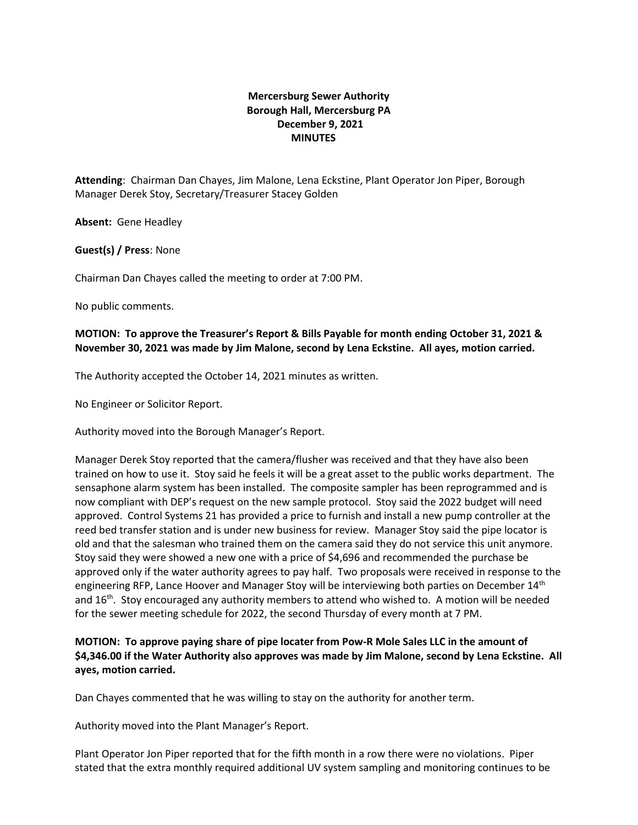## **Mercersburg Sewer Authority Borough Hall, Mercersburg PA December 9, 2021 MINUTES**

**Attending**: Chairman Dan Chayes, Jim Malone, Lena Eckstine, Plant Operator Jon Piper, Borough Manager Derek Stoy, Secretary/Treasurer Stacey Golden

**Absent:** Gene Headley

**Guest(s) / Press**: None

Chairman Dan Chayes called the meeting to order at 7:00 PM.

No public comments.

## **MOTION: To approve the Treasurer's Report & Bills Payable for month ending October 31, 2021 & November 30, 2021 was made by Jim Malone, second by Lena Eckstine. All ayes, motion carried.**

The Authority accepted the October 14, 2021 minutes as written.

No Engineer or Solicitor Report.

Authority moved into the Borough Manager's Report.

Manager Derek Stoy reported that the camera/flusher was received and that they have also been trained on how to use it. Stoy said he feels it will be a great asset to the public works department. The sensaphone alarm system has been installed. The composite sampler has been reprogrammed and is now compliant with DEP's request on the new sample protocol. Stoy said the 2022 budget will need approved. Control Systems 21 has provided a price to furnish and install a new pump controller at the reed bed transfer station and is under new business for review. Manager Stoy said the pipe locator is old and that the salesman who trained them on the camera said they do not service this unit anymore. Stoy said they were showed a new one with a price of \$4,696 and recommended the purchase be approved only if the water authority agrees to pay half. Two proposals were received in response to the engineering RFP, Lance Hoover and Manager Stoy will be interviewing both parties on December 14<sup>th</sup> and  $16<sup>th</sup>$ . Stoy encouraged any authority members to attend who wished to. A motion will be needed for the sewer meeting schedule for 2022, the second Thursday of every month at 7 PM.

## **MOTION: To approve paying share of pipe locater from Pow-R Mole Sales LLC in the amount of \$4,346.00 if the Water Authority also approves was made by Jim Malone, second by Lena Eckstine. All ayes, motion carried.**

Dan Chayes commented that he was willing to stay on the authority for another term.

Authority moved into the Plant Manager's Report.

Plant Operator Jon Piper reported that for the fifth month in a row there were no violations. Piper stated that the extra monthly required additional UV system sampling and monitoring continues to be